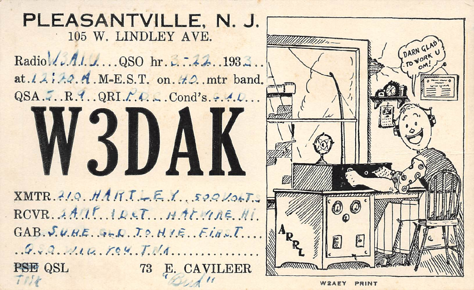

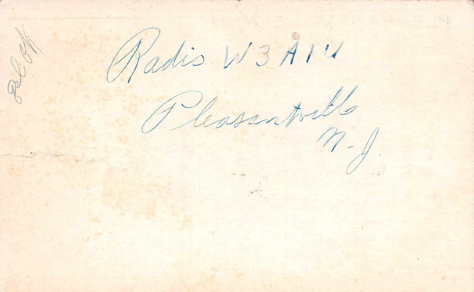Radio W3 A14 REA Reasonpillo